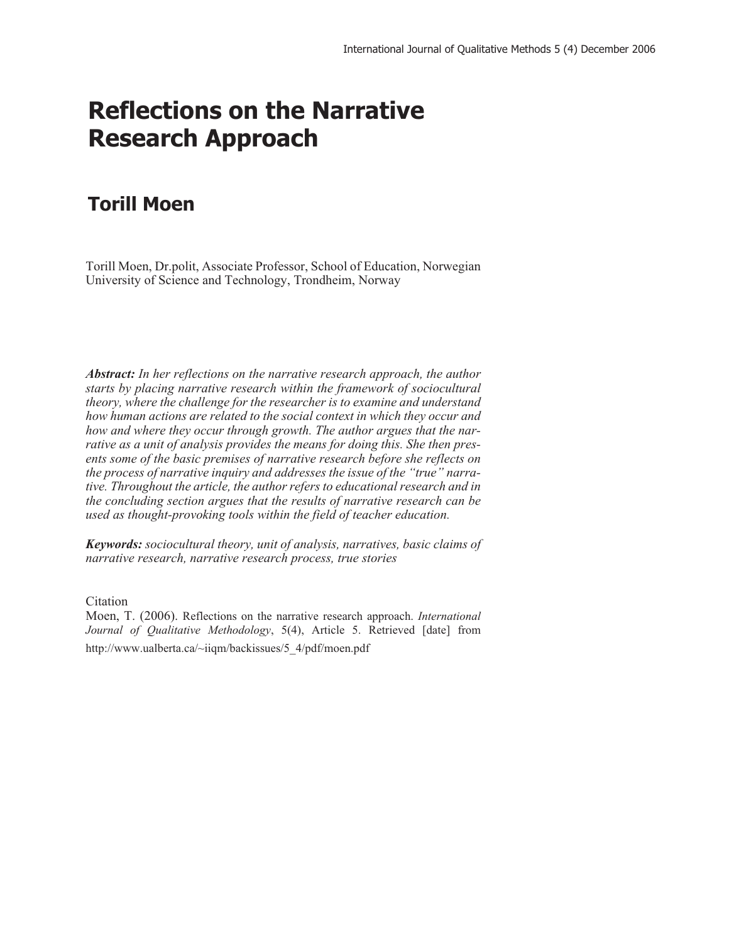# **Reflections on the Narrative Research Approach**

# **Torill Moen**

Torill Moen, Dr.polit, Associate Professor, School of Education, Norwegian University of Science and Technology, Trondheim, Norway

*Abstract: In her reflections on the narrative research approach, the author starts by placing narrative research within the framework of sociocultural theory, where the challenge for the researcher is to examine and understand how human actions are related to the social context in which they occur and how and where they occur through growth. The author argues that the narrative as a unit of analysis provides the means for doing this. She then presents some of the basic premises of narrative research before she reflects on the process of narrative inquiry and addresses the issue of the "true" narrative. Throughout the article, the author refers to educational research and in the concluding section argues that the results of narrative research can be used as thought-provoking tools within the field of teacher education.*

*Keywords: sociocultural theory, unit of analysis, narratives, basic claims of narrative research, narrative research process, true stories*

Citation

Moen, T. (2006). Reflections on the narrative research approach. *International Journal of Qualitative Methodology*, 5(4), Article 5. Retrieved [date] from http://www.ualberta.ca/~iiqm/backissues/5\_4/pdf/moen.pdf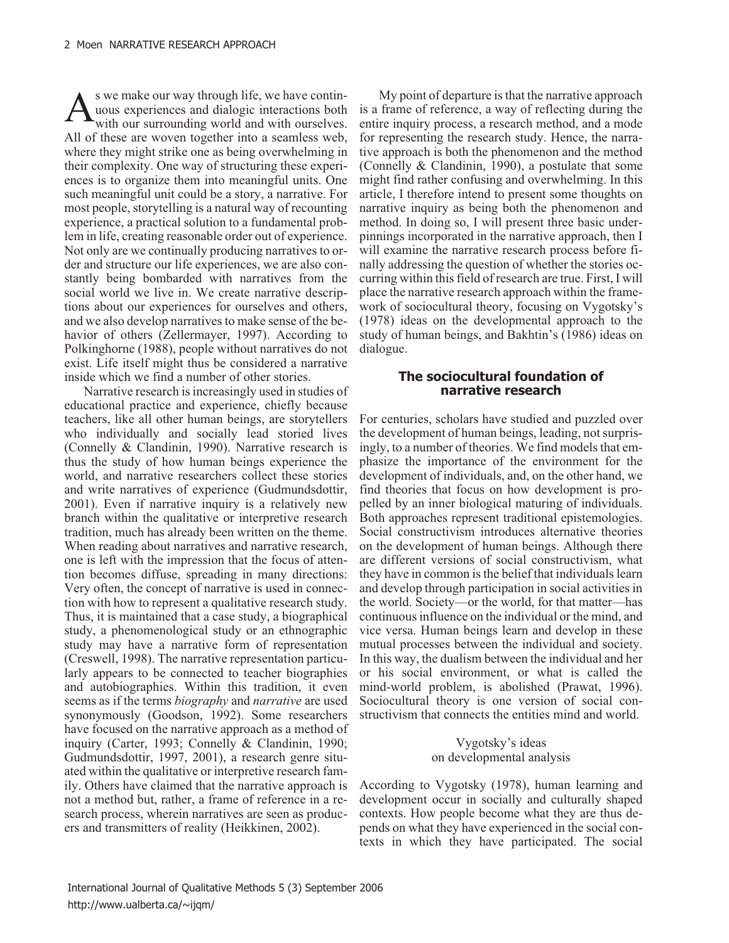$A<sub>with</sub>$  as we make our way through life, we have contin-<br>with our surrounding world and with ourselves. uous experiences and dialogic interactions both with our surrounding world and with ourselves. All of these are woven together into a seamless web, where they might strike one as being overwhelming in their complexity. One way of structuring these experiences is to organize them into meaningful units. One such meaningful unit could be a story, a narrative. For most people, storytelling is a natural way of recounting experience, a practical solution to a fundamental problem in life, creating reasonable order out of experience. Not only are we continually producing narratives to order and structure our life experiences, we are also constantly being bombarded with narratives from the social world we live in. We create narrative descriptions about our experiences for ourselves and others, and we also develop narratives to make sense of the behavior of others (Zellermayer, 1997). According to Polkinghorne (1988), people without narratives do not exist. Life itself might thus be considered a narrative inside which we find a number of other stories.

Narrative research is increasingly used in studies of educational practice and experience, chiefly because teachers, like all other human beings, are storytellers who individually and socially lead storied lives (Connelly & Clandinin, 1990). Narrative research is thus the study of how human beings experience the world, and narrative researchers collect these stories and write narratives of experience (Gudmundsdottir, 2001). Even if narrative inquiry is a relatively new branch within the qualitative or interpretive research tradition, much has already been written on the theme. When reading about narratives and narrative research, one is left with the impression that the focus of attention becomes diffuse, spreading in many directions: Very often, the concept of narrative is used in connection with how to represent a qualitative research study. Thus, it is maintained that a case study, a biographical study, a phenomenological study or an ethnographic study may have a narrative form of representation (Creswell, 1998). The narrative representation particularly appears to be connected to teacher biographies and autobiographies. Within this tradition, it even seems as if the terms *biography* and *narrative* are used synonymously (Goodson, 1992). Some researchers have focused on the narrative approach as a method of inquiry (Carter, 1993; Connelly & Clandinin, 1990; Gudmundsdottir, 1997, 2001), a research genre situated within the qualitative or interpretive research family. Others have claimed that the narrative approach is not a method but, rather, a frame of reference in a research process, wherein narratives are seen as producers and transmitters of reality (Heikkinen, 2002).

My point of departure is that the narrative approach is a frame of reference, a way of reflecting during the entire inquiry process, a research method, and a mode for representing the research study. Hence, the narrative approach is both the phenomenon and the method (Connelly & Clandinin, 1990), a postulate that some might find rather confusing and overwhelming. In this article, I therefore intend to present some thoughts on narrative inquiry as being both the phenomenon and method. In doing so, I will present three basic underpinnings incorporated in the narrative approach, then I will examine the narrative research process before finally addressing the question of whether the stories occurring within this field of research are true. First, I will place the narrative research approach within the framework of sociocultural theory, focusing on Vygotsky's (1978) ideas on the developmental approach to the study of human beings, and Bakhtin's (1986) ideas on dialogue.

# **The sociocultural foundation of narrative research**

For centuries, scholars have studied and puzzled over the development of human beings, leading, not surprisingly, to a number of theories. We find models that emphasize the importance of the environment for the development of individuals, and, on the other hand, we find theories that focus on how development is propelled by an inner biological maturing of individuals. Both approaches represent traditional epistemologies. Social constructivism introduces alternative theories on the development of human beings. Although there are different versions of social constructivism, what they have in common is the belief that individuals learn and develop through participation in social activities in the world. Society—or the world, for that matter—has continuous influence on the individual or the mind, and vice versa. Human beings learn and develop in these mutual processes between the individual and society. In this way, the dualism between the individual and her or his social environment, or what is called the mind-world problem, is abolished (Prawat, 1996). Sociocultural theory is one version of social constructivism that connects the entities mind and world.

> Vygotsky's ideas on developmental analysis

According to Vygotsky (1978), human learning and development occur in socially and culturally shaped contexts. How people become what they are thus depends on what they have experienced in the social contexts in which they have participated. The social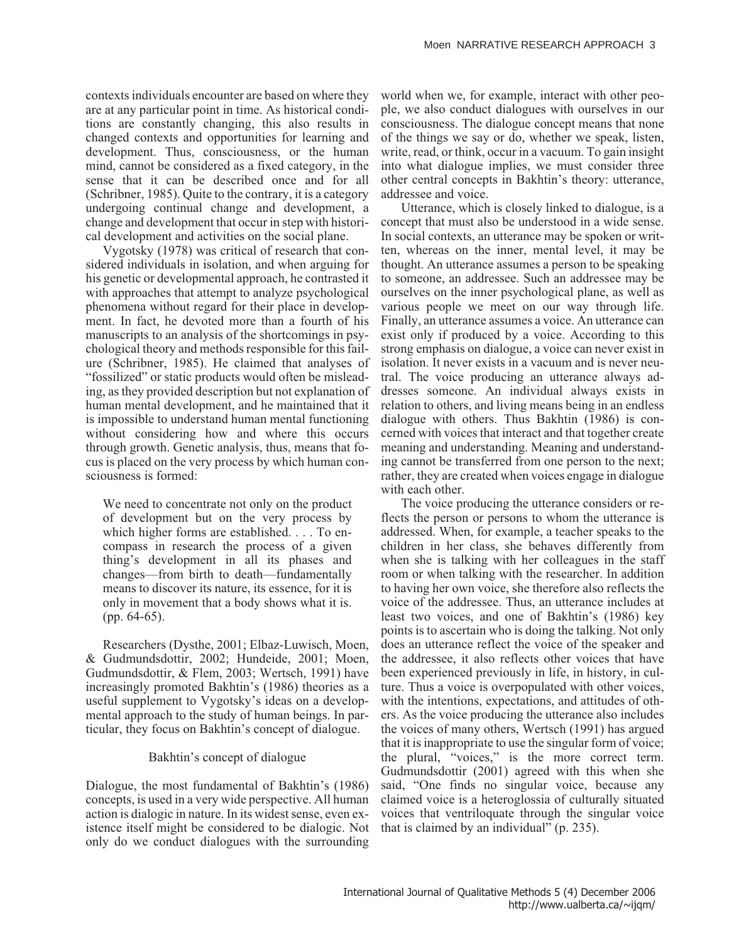contexts individuals encounter are based on where they are at any particular point in time. As historical conditions are constantly changing, this also results in changed contexts and opportunities for learning and development. Thus, consciousness, or the human mind, cannot be considered as a fixed category, in the sense that it can be described once and for all (Schribner, 1985). Quite to the contrary, it is a category undergoing continual change and development, a change and development that occur in step with historical development and activities on the social plane.

Vygotsky (1978) was critical of research that considered individuals in isolation, and when arguing for his genetic or developmental approach, he contrasted it with approaches that attempt to analyze psychological phenomena without regard for their place in development. In fact, he devoted more than a fourth of his manuscripts to an analysis of the shortcomings in psychological theory and methods responsible for this failure (Schribner, 1985). He claimed that analyses of "fossilized" or static products would often be misleading, as they provided description but not explanation of human mental development, and he maintained that it is impossible to understand human mental functioning without considering how and where this occurs through growth. Genetic analysis, thus, means that focus is placed on the very process by which human consciousness is formed:

We need to concentrate not only on the product of development but on the very process by which higher forms are established. . . . To encompass in research the process of a given thing's development in all its phases and changes—from birth to death—fundamentally means to discover its nature, its essence, for it is only in movement that a body shows what it is. (pp. 64-65).

Researchers (Dysthe, 2001; Elbaz-Luwisch, Moen, & Gudmundsdottir, 2002; Hundeide, 2001; Moen, Gudmundsdottir, & Flem, 2003; Wertsch, 1991) have increasingly promoted Bakhtin's (1986) theories as a useful supplement to Vygotsky's ideas on a developmental approach to the study of human beings. In particular, they focus on Bakhtin's concept of dialogue.

#### Bakhtin's concept of dialogue

Dialogue, the most fundamental of Bakhtin's (1986) concepts, is used in a very wide perspective. All human action is dialogic in nature. In its widest sense, even existence itself might be considered to be dialogic. Not only do we conduct dialogues with the surrounding

world when we, for example, interact with other people, we also conduct dialogues with ourselves in our consciousness. The dialogue concept means that none of the things we say or do, whether we speak, listen, write, read, or think, occur in a vacuum. To gain insight into what dialogue implies, we must consider three other central concepts in Bakhtin's theory: utterance, addressee and voice.

Utterance, which is closely linked to dialogue, is a concept that must also be understood in a wide sense. In social contexts, an utterance may be spoken or written, whereas on the inner, mental level, it may be thought. An utterance assumes a person to be speaking to someone, an addressee. Such an addressee may be ourselves on the inner psychological plane, as well as various people we meet on our way through life. Finally, an utterance assumes a voice. An utterance can exist only if produced by a voice. According to this strong emphasis on dialogue, a voice can never exist in isolation. It never exists in a vacuum and is never neutral. The voice producing an utterance always addresses someone. An individual always exists in relation to others, and living means being in an endless dialogue with others. Thus Bakhtin (1986) is concerned with voices that interact and that together create meaning and understanding. Meaning and understanding cannot be transferred from one person to the next; rather, they are created when voices engage in dialogue with each other.

The voice producing the utterance considers or reflects the person or persons to whom the utterance is addressed. When, for example, a teacher speaks to the children in her class, she behaves differently from when she is talking with her colleagues in the staff room or when talking with the researcher. In addition to having her own voice, she therefore also reflects the voice of the addressee. Thus, an utterance includes at least two voices, and one of Bakhtin's (1986) key points is to ascertain who is doing the talking. Not only does an utterance reflect the voice of the speaker and the addressee, it also reflects other voices that have been experienced previously in life, in history, in culture. Thus a voice is overpopulated with other voices, with the intentions, expectations, and attitudes of others. As the voice producing the utterance also includes the voices of many others, Wertsch (1991) has argued that it is inappropriate to use the singular form of voice; the plural, "voices," is the more correct term. Gudmundsdottir (2001) agreed with this when she said, "One finds no singular voice, because any claimed voice is a heteroglossia of culturally situated voices that ventriloquate through the singular voice that is claimed by an individual" (p. 235).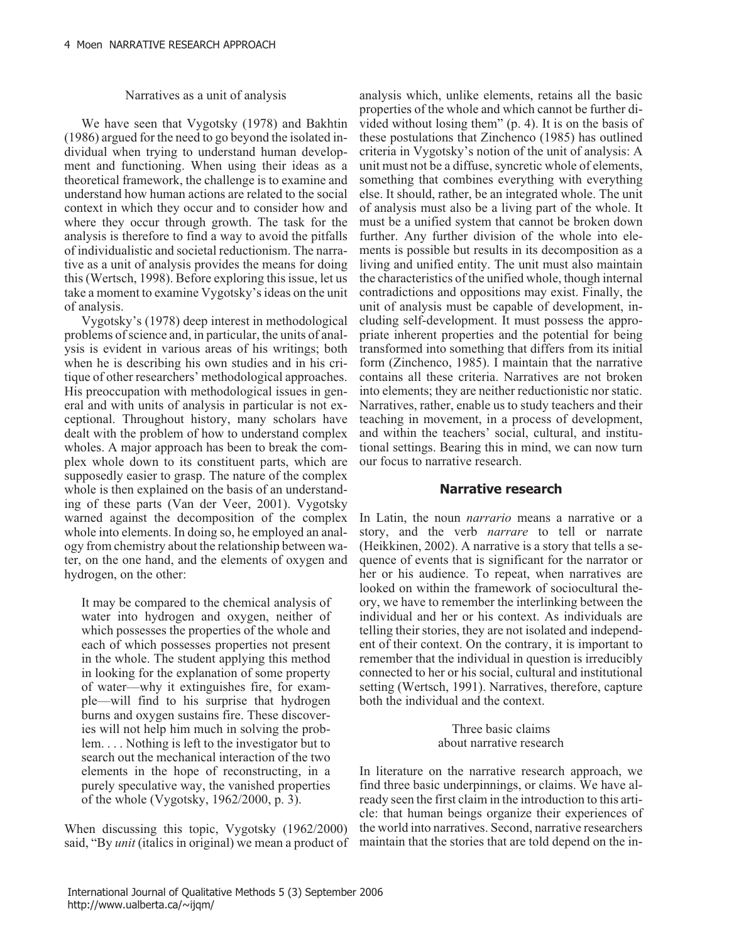#### Narratives as a unit of analysis

We have seen that Vygotsky (1978) and Bakhtin (1986) argued for the need to go beyond the isolated individual when trying to understand human development and functioning. When using their ideas as a theoretical framework, the challenge is to examine and understand how human actions are related to the social context in which they occur and to consider how and where they occur through growth. The task for the analysis is therefore to find a way to avoid the pitfalls of individualistic and societal reductionism. The narrative as a unit of analysis provides the means for doing this (Wertsch, 1998). Before exploring this issue, let us take a moment to examine Vygotsky's ideas on the unit of analysis.

Vygotsky's (1978) deep interest in methodological problems of science and, in particular, the units of analysis is evident in various areas of his writings; both when he is describing his own studies and in his critique of other researchers' methodological approaches. His preoccupation with methodological issues in general and with units of analysis in particular is not exceptional. Throughout history, many scholars have dealt with the problem of how to understand complex wholes. A major approach has been to break the complex whole down to its constituent parts, which are supposedly easier to grasp. The nature of the complex whole is then explained on the basis of an understanding of these parts (Van der Veer, 2001). Vygotsky warned against the decomposition of the complex whole into elements. In doing so, he employed an analogy from chemistry about the relationship between water, on the one hand, and the elements of oxygen and hydrogen, on the other:

It may be compared to the chemical analysis of water into hydrogen and oxygen, neither of which possesses the properties of the whole and each of which possesses properties not present in the whole. The student applying this method in looking for the explanation of some property of water—why it extinguishes fire, for example—will find to his surprise that hydrogen burns and oxygen sustains fire. These discoveries will not help him much in solving the problem. . . . Nothing is left to the investigator but to search out the mechanical interaction of the two elements in the hope of reconstructing, in a purely speculative way, the vanished properties of the whole (Vygotsky, 1962/2000, p. 3).

When discussing this topic, Vygotsky (1962/2000) said, "By *unit* (italics in original) we mean a product of

analysis which, unlike elements, retains all the basic properties of the whole and which cannot be further divided without losing them" (p. 4). It is on the basis of these postulations that Zinchenco (1985) has outlined criteria in Vygotsky's notion of the unit of analysis: A unit must not be a diffuse, syncretic whole of elements, something that combines everything with everything else. It should, rather, be an integrated whole. The unit of analysis must also be a living part of the whole. It must be a unified system that cannot be broken down further. Any further division of the whole into elements is possible but results in its decomposition as a living and unified entity. The unit must also maintain the characteristics of the unified whole, though internal contradictions and oppositions may exist. Finally, the unit of analysis must be capable of development, including self-development. It must possess the appropriate inherent properties and the potential for being transformed into something that differs from its initial form (Zinchenco, 1985). I maintain that the narrative contains all these criteria. Narratives are not broken into elements; they are neither reductionistic nor static. Narratives, rather, enable us to study teachers and their teaching in movement, in a process of development, and within the teachers' social, cultural, and institutional settings. Bearing this in mind, we can now turn our focus to narrative research.

## **Narrative research**

In Latin, the noun *narrario* means a narrative or a story, and the verb *narrare* to tell or narrate (Heikkinen, 2002). A narrative is a story that tells a sequence of events that is significant for the narrator or her or his audience. To repeat, when narratives are looked on within the framework of sociocultural theory, we have to remember the interlinking between the individual and her or his context. As individuals are telling their stories, they are not isolated and independent of their context. On the contrary, it is important to remember that the individual in question is irreducibly connected to her or his social, cultural and institutional setting (Wertsch, 1991). Narratives, therefore, capture both the individual and the context.

> Three basic claims about narrative research

In literature on the narrative research approach, we find three basic underpinnings, or claims. We have already seen the first claim in the introduction to this article: that human beings organize their experiences of the world into narratives. Second, narrative researchers maintain that the stories that are told depend on the in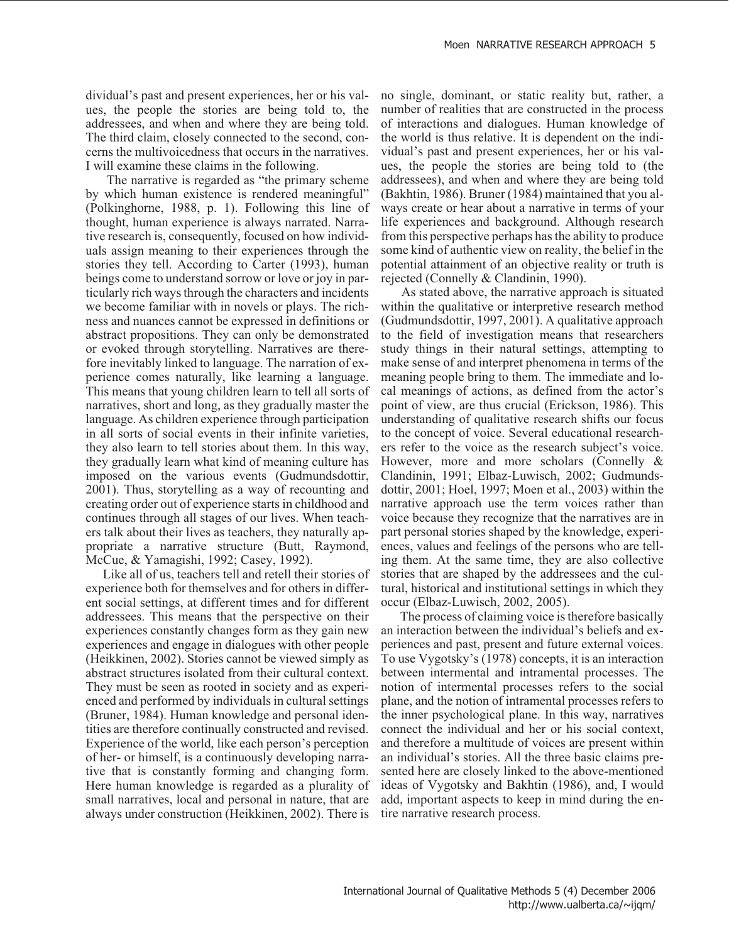dividual's past and present experiences, her or his values, the people the stories are being told to, the addressees, and when and where they are being told. The third claim, closely connected to the second, concerns the multivoicedness that occurs in the narratives. I will examine these claims in the following.

The narrative is regarded as "the primary scheme by which human existence is rendered meaningful" (Polkinghorne, 1988, p. 1). Following this line of thought, human experience is always narrated. Narrative research is, consequently, focused on how individuals assign meaning to their experiences through the stories they tell. According to Carter (1993), human beings come to understand sorrow or love or joy in particularly rich ways through the characters and incidents we become familiar with in novels or plays. The richness and nuances cannot be expressed in definitions or abstract propositions. They can only be demonstrated or evoked through storytelling. Narratives are therefore inevitably linked to language. The narration of experience comes naturally, like learning a language. This means that young children learn to tell all sorts of narratives, short and long, as they gradually master the language. As children experience through participation in all sorts of social events in their infinite varieties, they also learn to tell stories about them. In this way, they gradually learn what kind of meaning culture has imposed on the various events (Gudmundsdottir, 2001). Thus, storytelling as a way of recounting and creating order out of experience starts in childhood and continues through all stages of our lives. When teachers talk about their lives as teachers, they naturally appropriate a narrative structure (Butt, Raymond, McCue, & Yamagishi, 1992; Casey, 1992).

Like all of us, teachers tell and retell their stories of experience both for themselves and for others in different social settings, at different times and for different addressees. This means that the perspective on their experiences constantly changes form as they gain new experiences and engage in dialogues with other people (Heikkinen, 2002). Stories cannot be viewed simply as abstract structures isolated from their cultural context. They must be seen as rooted in society and as experienced and performed by individuals in cultural settings (Bruner, 1984). Human knowledge and personal identities are therefore continually constructed and revised. Experience of the world, like each person's perception of her- or himself, is a continuously developing narrative that is constantly forming and changing form. Here human knowledge is regarded as a plurality of small narratives, local and personal in nature, that are always under construction (Heikkinen, 2002). There is

no single, dominant, or static reality but, rather, a number of realities that are constructed in the process of interactions and dialogues. Human knowledge of the world is thus relative. It is dependent on the individual's past and present experiences, her or his values, the people the stories are being told to (the addressees), and when and where they are being told (Bakhtin, 1986). Bruner (1984) maintained that you always create or hear about a narrative in terms of your life experiences and background. Although research from this perspective perhaps has the ability to produce some kind of authentic view on reality, the belief in the potential attainment of an objective reality or truth is rejected (Connelly & Clandinin, 1990).

As stated above, the narrative approach is situated within the qualitative or interpretive research method (Gudmundsdottir, 1997, 2001). A qualitative approach to the field of investigation means that researchers study things in their natural settings, attempting to make sense of and interpret phenomena in terms of the meaning people bring to them. The immediate and local meanings of actions, as defined from the actor's point of view, are thus crucial (Erickson, 1986). This understanding of qualitative research shifts our focus to the concept of voice. Several educational researchers refer to the voice as the research subject's voice. However, more and more scholars (Connelly & Clandinin, 1991; Elbaz-Luwisch, 2002; Gudmundsdottir, 2001; Hoel, 1997; Moen et al., 2003) within the narrative approach use the term voices rather than voice because they recognize that the narratives are in part personal stories shaped by the knowledge, experiences, values and feelings of the persons who are telling them. At the same time, they are also collective stories that are shaped by the addressees and the cultural, historical and institutional settings in which they occur (Elbaz-Luwisch, 2002, 2005).

The process of claiming voice is therefore basically an interaction between the individual's beliefs and experiences and past, present and future external voices. To use Vygotsky's (1978) concepts, it is an interaction between intermental and intramental processes. The notion of intermental processes refers to the social plane, and the notion of intramental processes refers to the inner psychological plane. In this way, narratives connect the individual and her or his social context, and therefore a multitude of voices are present within an individual's stories. All the three basic claims presented here are closely linked to the above-mentioned ideas of Vygotsky and Bakhtin (1986), and, I would add, important aspects to keep in mind during the entire narrative research process.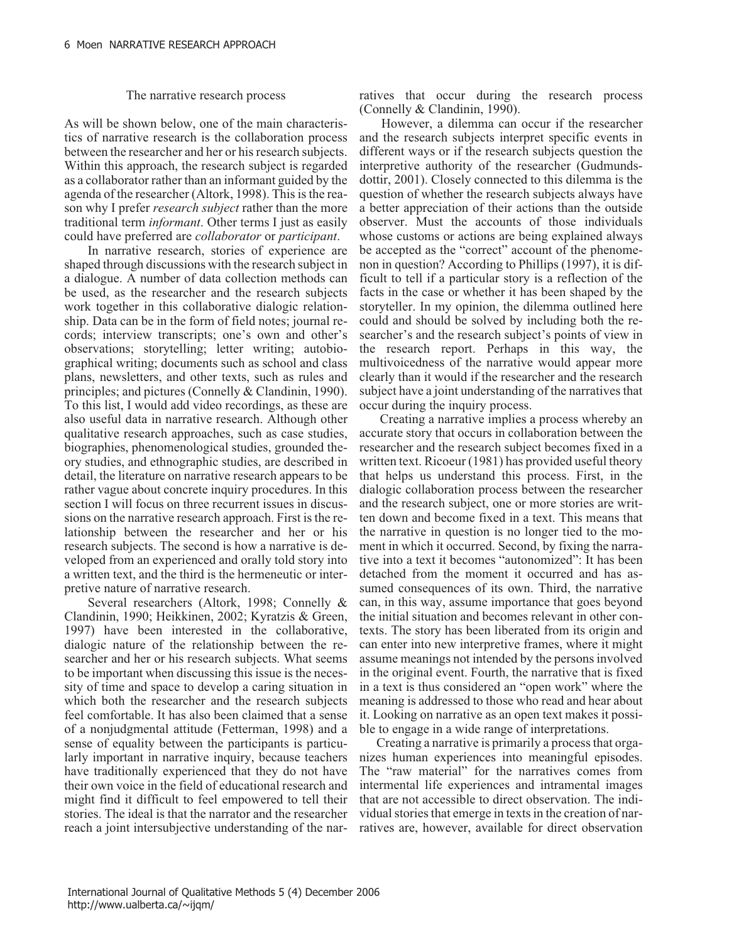#### The narrative research process

As will be shown below, one of the main characteristics of narrative research is the collaboration process between the researcher and her or his research subjects. Within this approach, the research subject is regarded as a collaborator rather than an informant guided by the agenda of the researcher (Altork, 1998). This is the reason why I prefer *research subject* rather than the more traditional term *informant*. Other terms I just as easily could have preferred are *collaborator* or *participant*.

In narrative research, stories of experience are shaped through discussions with the research subject in a dialogue. A number of data collection methods can be used, as the researcher and the research subjects work together in this collaborative dialogic relationship. Data can be in the form of field notes; journal records; interview transcripts; one's own and other's observations; storytelling; letter writing; autobiographical writing; documents such as school and class plans, newsletters, and other texts, such as rules and principles; and pictures (Connelly & Clandinin, 1990). To this list, I would add video recordings, as these are also useful data in narrative research. Although other qualitative research approaches, such as case studies, biographies, phenomenological studies, grounded theory studies, and ethnographic studies, are described in detail, the literature on narrative research appears to be rather vague about concrete inquiry procedures. In this section I will focus on three recurrent issues in discussions on the narrative research approach. First is the relationship between the researcher and her or his research subjects. The second is how a narrative is developed from an experienced and orally told story into a written text, and the third is the hermeneutic or interpretive nature of narrative research.

Several researchers (Altork, 1998; Connelly & Clandinin, 1990; Heikkinen, 2002; Kyratzis & Green, 1997) have been interested in the collaborative, dialogic nature of the relationship between the researcher and her or his research subjects. What seems to be important when discussing this issue is the necessity of time and space to develop a caring situation in which both the researcher and the research subjects feel comfortable. It has also been claimed that a sense of a nonjudgmental attitude (Fetterman, 1998) and a sense of equality between the participants is particularly important in narrative inquiry, because teachers have traditionally experienced that they do not have their own voice in the field of educational research and might find it difficult to feel empowered to tell their stories. The ideal is that the narrator and the researcher reach a joint intersubjective understanding of the narratives that occur during the research process (Connelly & Clandinin, 1990).

However, a dilemma can occur if the researcher and the research subjects interpret specific events in different ways or if the research subjects question the interpretive authority of the researcher (Gudmundsdottir, 2001). Closely connected to this dilemma is the question of whether the research subjects always have a better appreciation of their actions than the outside observer. Must the accounts of those individuals whose customs or actions are being explained always be accepted as the "correct" account of the phenomenon in question? According to Phillips (1997), it is difficult to tell if a particular story is a reflection of the facts in the case or whether it has been shaped by the storyteller. In my opinion, the dilemma outlined here could and should be solved by including both the researcher's and the research subject's points of view in the research report. Perhaps in this way, the multivoicedness of the narrative would appear more clearly than it would if the researcher and the research subject have a joint understanding of the narratives that occur during the inquiry process.

Creating a narrative implies a process whereby an accurate story that occurs in collaboration between the researcher and the research subject becomes fixed in a written text. Ricoeur (1981) has provided useful theory that helps us understand this process. First, in the dialogic collaboration process between the researcher and the research subject, one or more stories are written down and become fixed in a text. This means that the narrative in question is no longer tied to the moment in which it occurred. Second, by fixing the narrative into a text it becomes "autonomized": It has been detached from the moment it occurred and has assumed consequences of its own. Third, the narrative can, in this way, assume importance that goes beyond the initial situation and becomes relevant in other contexts. The story has been liberated from its origin and can enter into new interpretive frames, where it might assume meanings not intended by the persons involved in the original event. Fourth, the narrative that is fixed in a text is thus considered an "open work" where the meaning is addressed to those who read and hear about it. Looking on narrative as an open text makes it possible to engage in a wide range of interpretations.

Creating a narrative is primarily a process that organizes human experiences into meaningful episodes. The "raw material" for the narratives comes from intermental life experiences and intramental images that are not accessible to direct observation. The individual stories that emerge in texts in the creation of narratives are, however, available for direct observation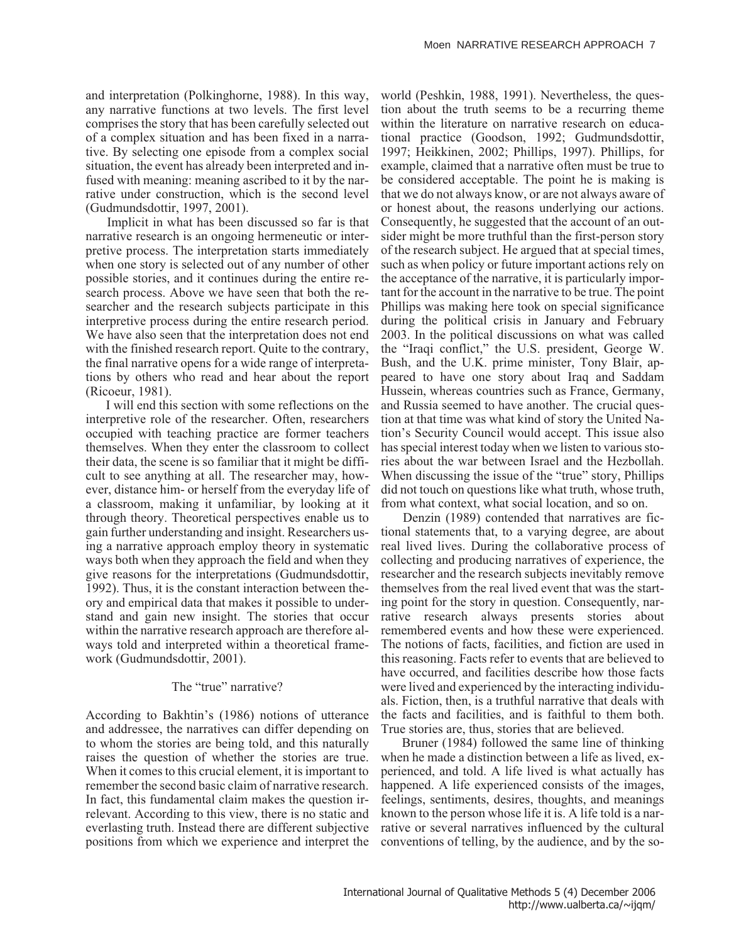and interpretation (Polkinghorne, 1988). In this way, any narrative functions at two levels. The first level comprises the story that has been carefully selected out of a complex situation and has been fixed in a narrative. By selecting one episode from a complex social situation, the event has already been interpreted and infused with meaning: meaning ascribed to it by the narrative under construction, which is the second level (Gudmundsdottir, 1997, 2001).

Implicit in what has been discussed so far is that narrative research is an ongoing hermeneutic or interpretive process. The interpretation starts immediately when one story is selected out of any number of other possible stories, and it continues during the entire research process. Above we have seen that both the researcher and the research subjects participate in this interpretive process during the entire research period. We have also seen that the interpretation does not end with the finished research report. Quite to the contrary, the final narrative opens for a wide range of interpretations by others who read and hear about the report (Ricoeur, 1981).

I will end this section with some reflections on the interpretive role of the researcher. Often, researchers occupied with teaching practice are former teachers themselves. When they enter the classroom to collect their data, the scene is so familiar that it might be difficult to see anything at all. The researcher may, however, distance him- or herself from the everyday life of a classroom, making it unfamiliar, by looking at it through theory. Theoretical perspectives enable us to gain further understanding and insight. Researchers using a narrative approach employ theory in systematic ways both when they approach the field and when they give reasons for the interpretations (Gudmundsdottir, 1992). Thus, it is the constant interaction between theory and empirical data that makes it possible to understand and gain new insight. The stories that occur within the narrative research approach are therefore always told and interpreted within a theoretical framework (Gudmundsdottir, 2001).

# The "true" narrative?

According to Bakhtin's (1986) notions of utterance and addressee, the narratives can differ depending on to whom the stories are being told, and this naturally raises the question of whether the stories are true. When it comes to this crucial element, it is important to remember the second basic claim of narrative research. In fact, this fundamental claim makes the question irrelevant. According to this view, there is no static and everlasting truth. Instead there are different subjective positions from which we experience and interpret the

world (Peshkin, 1988, 1991). Nevertheless, the question about the truth seems to be a recurring theme within the literature on narrative research on educational practice (Goodson, 1992; Gudmundsdottir, 1997; Heikkinen, 2002; Phillips, 1997). Phillips, for example, claimed that a narrative often must be true to be considered acceptable. The point he is making is that we do not always know, or are not always aware of or honest about, the reasons underlying our actions. Consequently, he suggested that the account of an outsider might be more truthful than the first-person story of the research subject. He argued that at special times, such as when policy or future important actions rely on the acceptance of the narrative, it is particularly important for the account in the narrative to be true. The point Phillips was making here took on special significance during the political crisis in January and February 2003. In the political discussions on what was called the "Iraqi conflict," the U.S. president, George W. Bush, and the U.K. prime minister, Tony Blair, appeared to have one story about Iraq and Saddam Hussein, whereas countries such as France, Germany, and Russia seemed to have another. The crucial question at that time was what kind of story the United Nation's Security Council would accept. This issue also has special interest today when we listen to various stories about the war between Israel and the Hezbollah. When discussing the issue of the "true" story, Phillips did not touch on questions like what truth, whose truth, from what context, what social location, and so on.

Denzin (1989) contended that narratives are fictional statements that, to a varying degree, are about real lived lives. During the collaborative process of collecting and producing narratives of experience, the researcher and the research subjects inevitably remove themselves from the real lived event that was the starting point for the story in question. Consequently, narrative research always presents stories about remembered events and how these were experienced. The notions of facts, facilities, and fiction are used in this reasoning. Facts refer to events that are believed to have occurred, and facilities describe how those facts were lived and experienced by the interacting individuals. Fiction, then, is a truthful narrative that deals with the facts and facilities, and is faithful to them both. True stories are, thus, stories that are believed.

Bruner (1984) followed the same line of thinking when he made a distinction between a life as lived, experienced, and told. A life lived is what actually has happened. A life experienced consists of the images, feelings, sentiments, desires, thoughts, and meanings known to the person whose life it is. A life told is a narrative or several narratives influenced by the cultural conventions of telling, by the audience, and by the so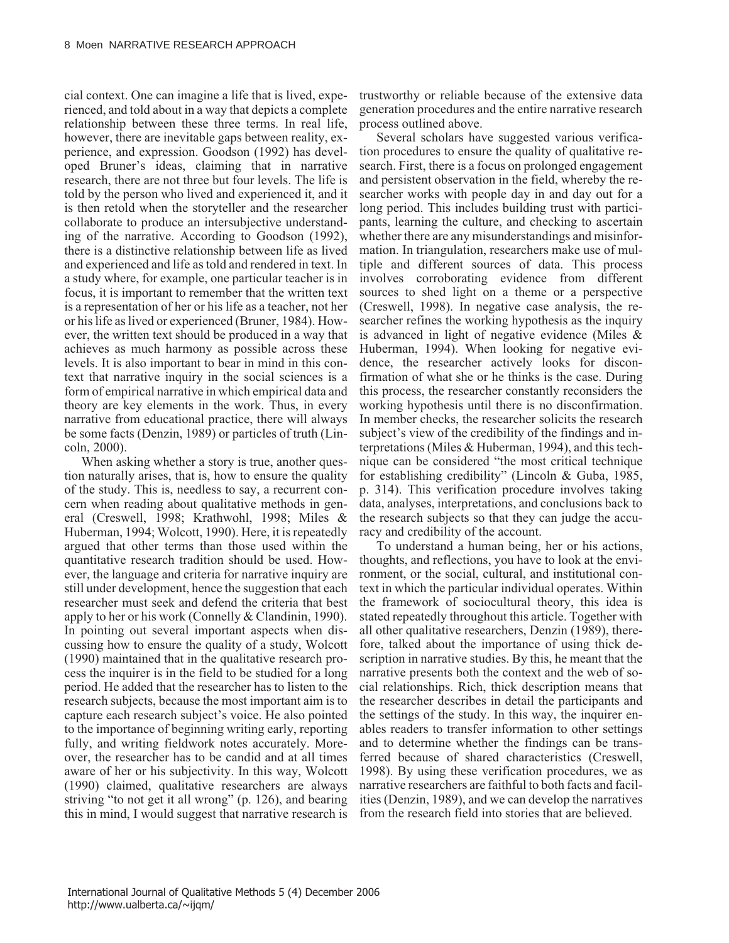cial context. One can imagine a life that is lived, experienced, and told about in a way that depicts a complete relationship between these three terms. In real life, however, there are inevitable gaps between reality, experience, and expression. Goodson (1992) has developed Bruner's ideas, claiming that in narrative research, there are not three but four levels. The life is told by the person who lived and experienced it, and it is then retold when the storyteller and the researcher collaborate to produce an intersubjective understanding of the narrative. According to Goodson (1992), there is a distinctive relationship between life as lived and experienced and life as told and rendered in text. In a study where, for example, one particular teacher is in focus, it is important to remember that the written text is a representation of her or his life as a teacher, not her or his life as lived or experienced (Bruner, 1984). However, the written text should be produced in a way that achieves as much harmony as possible across these levels. It is also important to bear in mind in this context that narrative inquiry in the social sciences is a form of empirical narrative in which empirical data and theory are key elements in the work. Thus, in every narrative from educational practice, there will always be some facts (Denzin, 1989) or particles of truth (Lincoln, 2000).

When asking whether a story is true, another question naturally arises, that is, how to ensure the quality of the study. This is, needless to say, a recurrent concern when reading about qualitative methods in general (Creswell, 1998; Krathwohl, 1998; Miles & Huberman, 1994; Wolcott, 1990). Here, it is repeatedly argued that other terms than those used within the quantitative research tradition should be used. However, the language and criteria for narrative inquiry are still under development, hence the suggestion that each researcher must seek and defend the criteria that best apply to her or his work (Connelly & Clandinin, 1990). In pointing out several important aspects when discussing how to ensure the quality of a study, Wolcott (1990) maintained that in the qualitative research process the inquirer is in the field to be studied for a long period. He added that the researcher has to listen to the research subjects, because the most important aim is to capture each research subject's voice. He also pointed to the importance of beginning writing early, reporting fully, and writing fieldwork notes accurately. Moreover, the researcher has to be candid and at all times aware of her or his subjectivity. In this way, Wolcott (1990) claimed, qualitative researchers are always striving "to not get it all wrong" (p. 126), and bearing this in mind, I would suggest that narrative research is

trustworthy or reliable because of the extensive data generation procedures and the entire narrative research process outlined above.

Several scholars have suggested various verification procedures to ensure the quality of qualitative research. First, there is a focus on prolonged engagement and persistent observation in the field, whereby the researcher works with people day in and day out for a long period. This includes building trust with participants, learning the culture, and checking to ascertain whether there are any misunderstandings and misinformation. In triangulation, researchers make use of multiple and different sources of data. This process involves corroborating evidence from different sources to shed light on a theme or a perspective (Creswell, 1998). In negative case analysis, the researcher refines the working hypothesis as the inquiry is advanced in light of negative evidence (Miles & Huberman, 1994). When looking for negative evidence, the researcher actively looks for disconfirmation of what she or he thinks is the case. During this process, the researcher constantly reconsiders the working hypothesis until there is no disconfirmation. In member checks, the researcher solicits the research subject's view of the credibility of the findings and interpretations (Miles & Huberman, 1994), and this technique can be considered "the most critical technique for establishing credibility" (Lincoln & Guba, 1985, p. 314). This verification procedure involves taking data, analyses, interpretations, and conclusions back to the research subjects so that they can judge the accuracy and credibility of the account.

To understand a human being, her or his actions, thoughts, and reflections, you have to look at the environment, or the social, cultural, and institutional context in which the particular individual operates. Within the framework of sociocultural theory, this idea is stated repeatedly throughout this article. Together with all other qualitative researchers, Denzin (1989), therefore, talked about the importance of using thick description in narrative studies. By this, he meant that the narrative presents both the context and the web of social relationships. Rich, thick description means that the researcher describes in detail the participants and the settings of the study. In this way, the inquirer enables readers to transfer information to other settings and to determine whether the findings can be transferred because of shared characteristics (Creswell, 1998). By using these verification procedures, we as narrative researchers are faithful to both facts and facilities (Denzin, 1989), and we can develop the narratives from the research field into stories that are believed.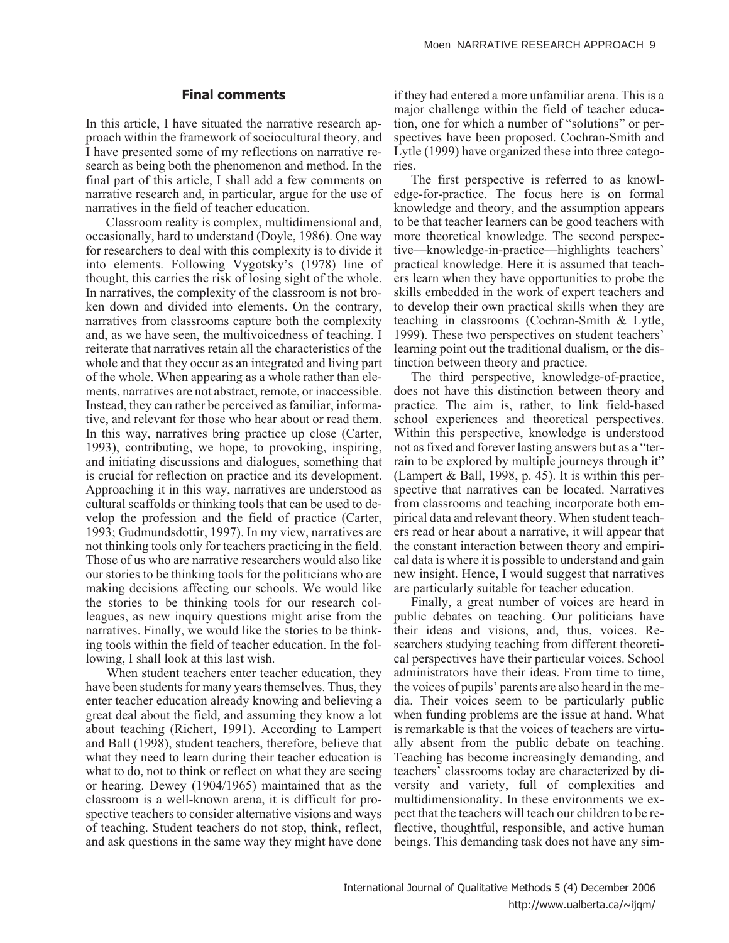## **Final comments**

In this article, I have situated the narrative research approach within the framework of sociocultural theory, and I have presented some of my reflections on narrative research as being both the phenomenon and method. In the final part of this article, I shall add a few comments on narrative research and, in particular, argue for the use of narratives in the field of teacher education.

Classroom reality is complex, multidimensional and, occasionally, hard to understand (Doyle, 1986). One way for researchers to deal with this complexity is to divide it into elements. Following Vygotsky's (1978) line of thought, this carries the risk of losing sight of the whole. In narratives, the complexity of the classroom is not broken down and divided into elements. On the contrary, narratives from classrooms capture both the complexity and, as we have seen, the multivoicedness of teaching. I reiterate that narratives retain all the characteristics of the whole and that they occur as an integrated and living part of the whole. When appearing as a whole rather than elements, narratives are not abstract, remote, or inaccessible. Instead, they can rather be perceived as familiar, informative, and relevant for those who hear about or read them. In this way, narratives bring practice up close (Carter, 1993), contributing, we hope, to provoking, inspiring, and initiating discussions and dialogues, something that is crucial for reflection on practice and its development. Approaching it in this way, narratives are understood as cultural scaffolds or thinking tools that can be used to develop the profession and the field of practice (Carter, 1993; Gudmundsdottir, 1997). In my view, narratives are not thinking tools only for teachers practicing in the field. Those of us who are narrative researchers would also like our stories to be thinking tools for the politicians who are making decisions affecting our schools. We would like the stories to be thinking tools for our research colleagues, as new inquiry questions might arise from the narratives. Finally, we would like the stories to be thinking tools within the field of teacher education. In the following, I shall look at this last wish.

When student teachers enter teacher education, they have been students for many years themselves. Thus, they enter teacher education already knowing and believing a great deal about the field, and assuming they know a lot about teaching (Richert, 1991). According to Lampert and Ball (1998), student teachers, therefore, believe that what they need to learn during their teacher education is what to do, not to think or reflect on what they are seeing or hearing. Dewey (1904/1965) maintained that as the classroom is a well-known arena, it is difficult for prospective teachers to consider alternative visions and ways of teaching. Student teachers do not stop, think, reflect, and ask questions in the same way they might have done if they had entered a more unfamiliar arena. This is a major challenge within the field of teacher education, one for which a number of "solutions" or perspectives have been proposed. Cochran-Smith and Lytle (1999) have organized these into three categories.

The first perspective is referred to as knowledge-for-practice. The focus here is on formal knowledge and theory, and the assumption appears to be that teacher learners can be good teachers with more theoretical knowledge. The second perspective—knowledge-in-practice—highlights teachers' practical knowledge. Here it is assumed that teachers learn when they have opportunities to probe the skills embedded in the work of expert teachers and to develop their own practical skills when they are teaching in classrooms (Cochran-Smith & Lytle, 1999). These two perspectives on student teachers' learning point out the traditional dualism, or the distinction between theory and practice.

The third perspective, knowledge-of-practice, does not have this distinction between theory and practice. The aim is, rather, to link field-based school experiences and theoretical perspectives. Within this perspective, knowledge is understood not as fixed and forever lasting answers but as a "terrain to be explored by multiple journeys through it" (Lampert & Ball, 1998, p. 45). It is within this perspective that narratives can be located. Narratives from classrooms and teaching incorporate both empirical data and relevant theory. When student teachers read or hear about a narrative, it will appear that the constant interaction between theory and empirical data is where it is possible to understand and gain new insight. Hence, I would suggest that narratives are particularly suitable for teacher education.

Finally, a great number of voices are heard in public debates on teaching. Our politicians have their ideas and visions, and, thus, voices. Researchers studying teaching from different theoretical perspectives have their particular voices. School administrators have their ideas. From time to time, the voices of pupils' parents are also heard in the media. Their voices seem to be particularly public when funding problems are the issue at hand. What is remarkable is that the voices of teachers are virtually absent from the public debate on teaching. Teaching has become increasingly demanding, and teachers' classrooms today are characterized by diversity and variety, full of complexities and multidimensionality. In these environments we expect that the teachers will teach our children to be reflective, thoughtful, responsible, and active human beings. This demanding task does not have any sim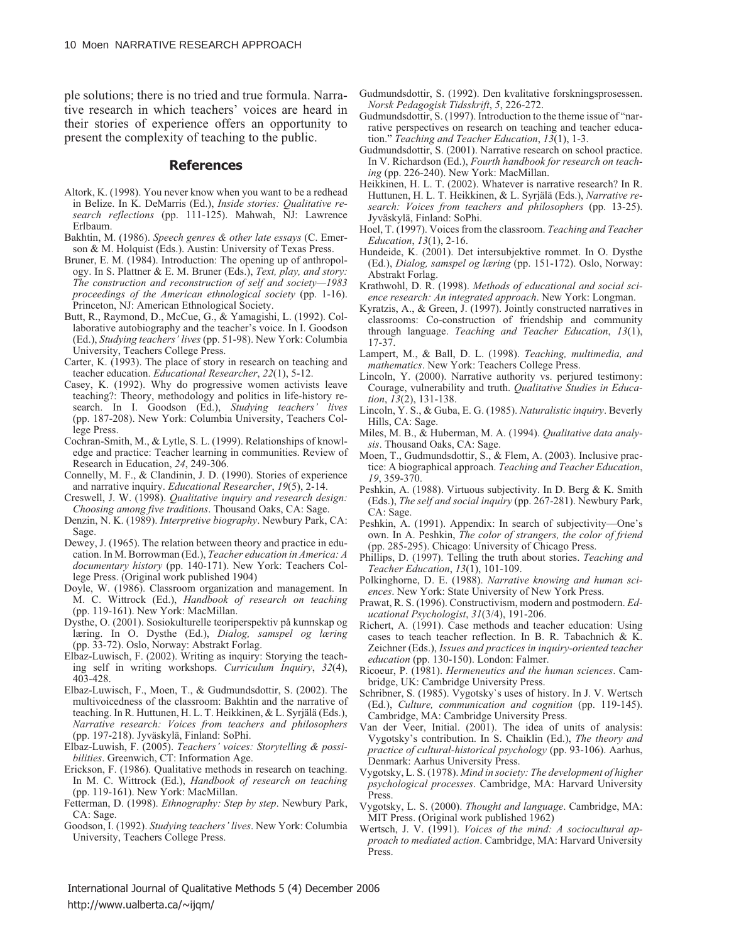ple solutions; there is no tried and true formula. Narrative research in which teachers' voices are heard in their stories of experience offers an opportunity to present the complexity of teaching to the public.

#### **References**

- Altork, K. (1998). You never know when you want to be a redhead in Belize. In K. DeMarris (Ed.), *Inside stories: Qualitative research reflections* (pp. 111-125). Mahwah, NJ: Lawrence Erlbaum.
- Bakhtin, M. (1986). *Speech genres & other late essays* (C. Emerson & M. Holquist (Eds.). Austin: University of Texas Press.
- Bruner, E. M. (1984). Introduction: The opening up of anthropology. In S. Plattner & E. M. Bruner (Eds.), *Text, play, and story: The construction and reconstruction of self and society—1983 proceedings of the American ethnological society* (pp. 1-16). Princeton, NJ: American Ethnological Society.
- Butt, R., Raymond, D., McCue, G., & Yamagishi, L. (1992). Collaborative autobiography and the teacher's voice. In I. Goodson (Ed.), *Studying teachers' lives* (pp. 51-98). New York: Columbia University, Teachers College Press.
- Carter, K. (1993). The place of story in research on teaching and teacher education. *Educational Researcher*, *22*(1), 5-12.
- Casey, K. (1992). Why do progressive women activists leave teaching?: Theory, methodology and politics in life-history research. In I. Goodson (Ed.), *Studying teachers' lives* (pp. 187-208). New York: Columbia University, Teachers College Press.
- Cochran-Smith, M., & Lytle, S. L. (1999). Relationships of knowledge and practice: Teacher learning in communities. Review of Research in Education, *24*, 249-306.
- Connelly, M. F., & Clandinin, J. D. (1990). Stories of experience and narrative inquiry. *Educational Researcher*, *19*(5), 2-14.
- Creswell, J. W. (1998). *Qualitative inquiry and research design: Choosing among five traditions*. Thousand Oaks, CA: Sage.
- Denzin, N. K. (1989). *Interpretive biography*. Newbury Park, CA: Sage.
- Dewey, J. (1965). The relation between theory and practice in education. In M. Borrowman (Ed.), *Teacher education in America: A documentary history* (pp. 140-171). New York: Teachers College Press. (Original work published 1904)
- Doyle, W. (1986). Classroom organization and management. In M. C. Wittrock (Ed.), *Handbook of research on teaching* (pp. 119-161). New York: MacMillan.
- Dysthe, O. (2001). Sosiokulturelle teoriperspektiv på kunnskap og læring. In O. Dysthe (Ed.), *Dialog, samspel og læring* (pp. 33-72). Oslo, Norway: Abstrakt Forlag.
- Elbaz-Luwisch, F. (2002). Writing as inquiry: Storying the teaching self in writing workshops. *Curriculum Inquiry*, *32*(4), 403-428.
- Elbaz-Luwisch, F., Moen, T., & Gudmundsdottir, S. (2002). The multivoicedness of the classroom: Bakhtin and the narrative of teaching. In R. Huttunen, H. L. T. Heikkinen, & L. Syrjälä (Eds.), *Narrative research: Voices from teachers and philosophers* (pp. 197-218). Jyväskylä, Finland: SoPhi.
- Elbaz-Luwish, F. (2005). *Teachers' voices: Storytelling & possibilities*. Greenwich, CT: Information Age.
- Erickson, F. (1986). Qualitative methods in research on teaching. In M. C. Wittrock (Ed.), *Handbook of research on teaching* (pp. 119-161). New York: MacMillan.
- Fetterman, D. (1998). *Ethnography: Step by step*. Newbury Park, CA: Sage.
- Goodson, I. (1992). *Studying teachers' lives*. New York: Columbia University, Teachers College Press.
- Gudmundsdottir, S. (1992). Den kvalitative forskningsprosessen. *Norsk Pedagogisk Tidsskrift*, *5*, 226-272.
- Gudmundsdottir, S. (1997). Introduction to the theme issue of "narrative perspectives on research on teaching and teacher education." *Teaching and Teacher Education*, *13*(1), 1-3.
- Gudmundsdottir, S. (2001). Narrative research on school practice. In V. Richardson (Ed.), *Fourth handbook for research on teaching* (pp. 226-240). New York: MacMillan.
- Heikkinen, H. L. T. (2002). Whatever is narrative research? In R. Huttunen, H. L. T. Heikkinen, & L. Syrjälä (Eds.), *Narrative research: Voices from teachers and philosophers* (pp. 13-25). Jyväskylä, Finland: SoPhi.
- Hoel, T. (1997). Voices from the classroom. *Teaching and Teacher Education*, *13*(1), 2-16.
- Hundeide, K. (2001). Det intersubjektive rommet. In O. Dysthe (Ed.), *Dialog, samspel og læring* (pp. 151-172). Oslo, Norway: Abstrakt Forlag.
- Krathwohl, D. R. (1998). *Methods of educational and social science research: An integrated approach*. New York: Longman.
- Kyratzis, A., & Green, J. (1997). Jointly constructed narratives in classrooms: Co-construction of friendship and community through language. *Teaching and Teacher Education*, *13*(1), 17-37.
- Lampert, M., & Ball, D. L. (1998). *Teaching, multimedia, and mathematics*. New York: Teachers College Press.
- Lincoln, Y. (2000). Narrative authority vs. perjured testimony: Courage, vulnerability and truth. *Qualitative Studies in Education*, *13*(2), 131-138.
- Lincoln, Y. S., & Guba, E. G. (1985). *Naturalistic inquiry*. Beverly Hills, CA: Sage.
- Miles, M. B., & Huberman, M. A. (1994). *Qualitative data analysis*. Thousand Oaks, CA: Sage.
- Moen, T., Gudmundsdottir, S., & Flem, A. (2003). Inclusive practice: A biographical approach. *Teaching and Teacher Education*, *19*, 359-370.
- Peshkin, A. (1988). Virtuous subjectivity. In D. Berg & K. Smith (Eds.), *The self and social inquiry* (pp. 267-281). Newbury Park, CA: Sage.
- Peshkin, A. (1991). Appendix: In search of subjectivity—One's own. In A. Peshkin, *The color of strangers, the color of friend* (pp. 285-295). Chicago: University of Chicago Press.
- Phillips, D. (1997). Telling the truth about stories. *Teaching and Teacher Education*, *13*(1), 101-109.
- Polkinghorne, D. E. (1988). *Narrative knowing and human sciences*. New York: State University of New York Press.
- Prawat, R. S. (1996). Constructivism, modern and postmodern. *Educational Psychologist*, *31*(3/4), 191-206.
- Richert, A. (1991). Case methods and teacher education: Using cases to teach teacher reflection. In B. R. Tabachnich & K. Zeichner (Eds.), *Issues and practices in inquiry-oriented teacher education* (pp. 130-150). London: Falmer.
- Ricoeur, P. (1981). *Hermeneutics and the human sciences*. Cambridge, UK: Cambridge University Press.
- Schribner, S. (1985). Vygotsky`s uses of history. In J. V. Wertsch (Ed.), *Culture, communication and cognition* (pp. 119-145). Cambridge, MA: Cambridge University Press.
- Van der Veer, Initial. (2001). The idea of units of analysis: Vygotsky's contribution. In S. Chaiklin (Ed.), *The theory and practice of cultural-historical psychology* (pp. 93-106). Aarhus, Denmark: Aarhus University Press.
- Vygotsky, L. S. (1978). *Mind in society: The development of higher psychological processes*. Cambridge, MA: Harvard University Press.
- Vygotsky, L. S. (2000). *Thought and language*. Cambridge, MA: MIT Press. (Original work published 1962)
- Wertsch, J. V. (1991). *Voices of the mind: A sociocultural approach to mediated action*. Cambridge, MA: Harvard University Press.